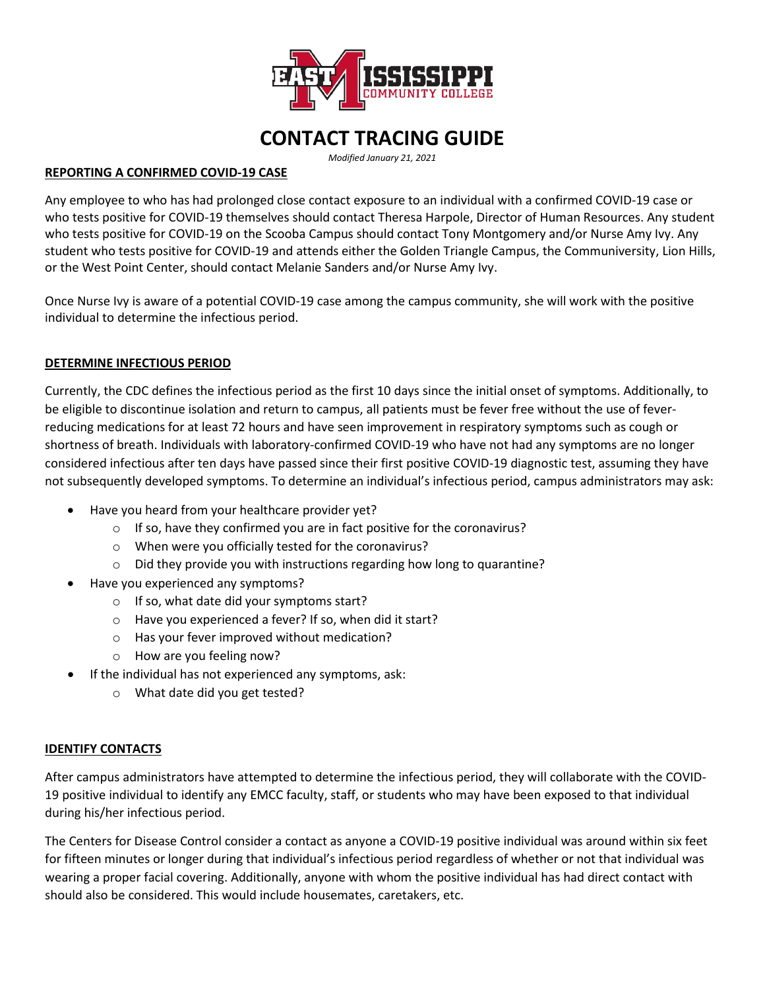

# **CONTACT TRACING GUIDE**

*Modified January 21, 2021*

### **REPORTING A CONFIRMED COVID-19 CASE**

Any employee to who has had prolonged close contact exposure to an individual with a confirmed COVID-19 case or who tests positive for COVID-19 themselves should contact Theresa Harpole, Director of Human Resources. Any student who tests positive for COVID-19 on the Scooba Campus should contact Tony Montgomery and/or Nurse Amy Ivy. Any student who tests positive for COVID-19 and attends either the Golden Triangle Campus, the Communiversity, Lion Hills, or the West Point Center, should contact Melanie Sanders and/or Nurse Amy Ivy.

Once Nurse Ivy is aware of a potential COVID-19 case among the campus community, she will work with the positive individual to determine the infectious period.

## **DETERMINE INFECTIOUS PERIOD**

Currently, the CDC defines the infectious period as the first 10 days since the initial onset of symptoms. Additionally, to be eligible to discontinue isolation and return to campus, all patients must be fever free without the use of feverreducing medications for at least 72 hours and have seen improvement in respiratory symptoms such as cough or shortness of breath. Individuals with laboratory-confirmed COVID-19 who have not had any symptoms are no longer considered infectious after ten days have passed since their first positive COVID-19 diagnostic test, assuming they have not subsequently developed symptoms. To determine an individual's infectious period, campus administrators may ask:

- Have you heard from your healthcare provider yet?
	- o If so, have they confirmed you are in fact positive for the coronavirus?
	- o When were you officially tested for the coronavirus?
	- o Did they provide you with instructions regarding how long to quarantine?
- Have you experienced any symptoms?
	- $\circ$  If so, what date did your symptoms start?
	- o Have you experienced a fever? If so, when did it start?
	- o Has your fever improved without medication?
	- o How are you feeling now?
- If the individual has not experienced any symptoms, ask:
	- o What date did you get tested?

#### **IDENTIFY CONTACTS**

After campus administrators have attempted to determine the infectious period, they will collaborate with the COVID-19 positive individual to identify any EMCC faculty, staff, or students who may have been exposed to that individual during his/her infectious period.

The Centers for Disease Control consider a contact as anyone a COVID-19 positive individual was around within six feet for fifteen minutes or longer during that individual's infectious period regardless of whether or not that individual was wearing a proper facial covering. Additionally, anyone with whom the positive individual has had direct contact with should also be considered. This would include housemates, caretakers, etc.